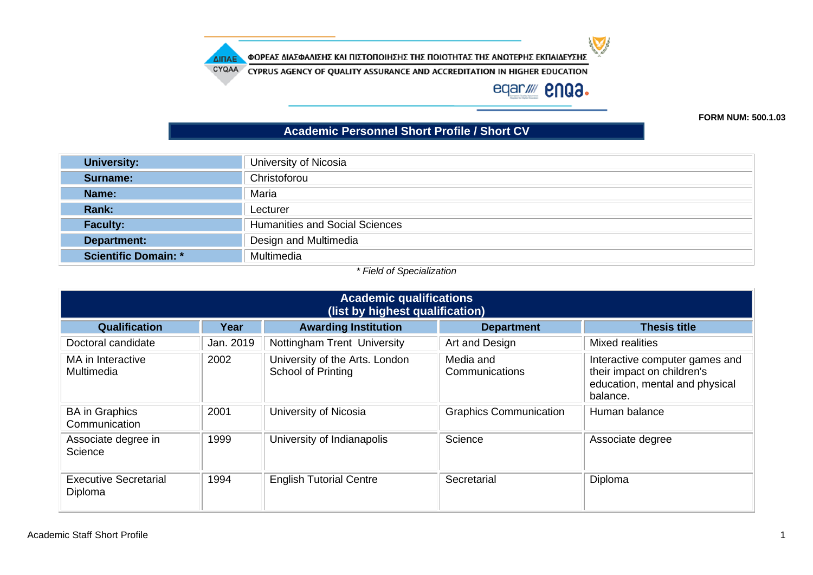ΔΙΠΑΕ

ΦΟΡΕΑΣ ΔΙΑΣΦΑΛΙΣΗΣ ΚΑΙ ΠΙΣΤΟΠΟΙΗΣΗΣ ΤΗΣ ΠΟΙΟΤΗΤΑΣ ΤΗΣ ΑΝΩΤΕΡΗΣ ΕΚΠΑΙΔΕΥΣΗΣ

CYQAA CYPRUS AGENCY OF QUALITY ASSURANCE AND ACCREDITATION IN HIGHER EDUCATION

## eqar/ **2003.**

 $\blacktriangledown$ 

**FORM NUM: 500.1.03**

## **Academic Personnel Short Profile / Short CV**

| <b>University:</b>          | University of Nicosia                 |
|-----------------------------|---------------------------------------|
| Surname:                    | Christoforou                          |
| Name:                       | Maria                                 |
| Rank:                       | Lecturer                              |
| <b>Faculty:</b>             | <b>Humanities and Social Sciences</b> |
| Department:                 | Design and Multimedia                 |
| <b>Scientific Domain: *</b> | Multimedia                            |

## *\* Field of Specialization*

| <b>Academic qualifications</b><br>(list by highest qualification)                                       |           |                                                      |                               |                                                                                                            |  |
|---------------------------------------------------------------------------------------------------------|-----------|------------------------------------------------------|-------------------------------|------------------------------------------------------------------------------------------------------------|--|
| <b>Thesis title</b><br><b>Qualification</b><br><b>Awarding Institution</b><br>Year<br><b>Department</b> |           |                                                      |                               |                                                                                                            |  |
| Doctoral candidate                                                                                      | Jan. 2019 | Nottingham Trent University                          | Art and Design                | Mixed realities                                                                                            |  |
| MA in Interactive<br>Multimedia                                                                         | 2002      | University of the Arts. London<br>School of Printing | Media and<br>Communications   | Interactive computer games and<br>their impact on children's<br>education, mental and physical<br>balance. |  |
| <b>BA</b> in Graphics<br>Communication                                                                  | 2001      | University of Nicosia                                | <b>Graphics Communication</b> | Human balance                                                                                              |  |
| Associate degree in<br>Science                                                                          | 1999      | University of Indianapolis                           | Science                       | Associate degree                                                                                           |  |
| <b>Executive Secretarial</b><br>Diploma                                                                 | 1994      | <b>English Tutorial Centre</b>                       | Secretarial                   | Diploma                                                                                                    |  |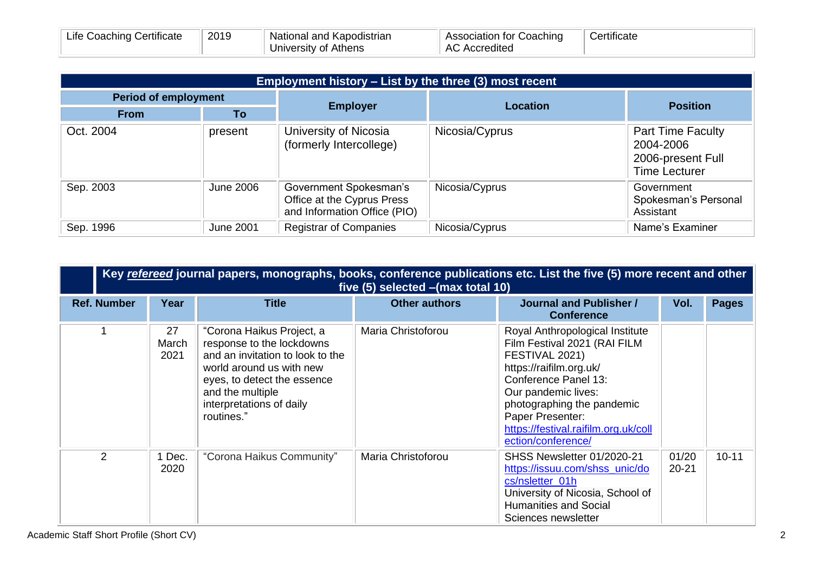| Life Coaching Certificate | 2019 | National and Kapodistrian | Association for Coaching | Certificate |
|---------------------------|------|---------------------------|--------------------------|-------------|
|                           |      | University of Athens      | <b>AC Accredited</b>     |             |

| Employment history – List by the three (3) most recent |                  |                                                                                      |                 |                                                                                    |  |
|--------------------------------------------------------|------------------|--------------------------------------------------------------------------------------|-----------------|------------------------------------------------------------------------------------|--|
| <b>Period of employment</b>                            |                  | <b>Employer</b>                                                                      | <b>Location</b> | <b>Position</b>                                                                    |  |
| <b>From</b>                                            | Τo               |                                                                                      |                 |                                                                                    |  |
| Oct. 2004                                              | present          | University of Nicosia<br>(formerly Intercollege)                                     | Nicosia/Cyprus  | <b>Part Time Faculty</b><br>2004-2006<br>2006-present Full<br><b>Time Lecturer</b> |  |
| Sep. 2003                                              | <b>June 2006</b> | Government Spokesman's<br>Office at the Cyprus Press<br>and Information Office (PIO) | Nicosia/Cyprus  | Government<br>Spokesman's Personal<br>Assistant                                    |  |
| Sep. 1996                                              | <b>June 2001</b> | <b>Registrar of Companies</b>                                                        | Nicosia/Cyprus  | Name's Examiner                                                                    |  |

|                    | Key refereed journal papers, monographs, books, conference publications etc. List the five (5) more recent and other<br>five (5) selected - (max total 10) |                                                                                                                                                                                                                     |                      |                                                                                                                                                                                                                                                                             |                    |              |  |  |  |
|--------------------|------------------------------------------------------------------------------------------------------------------------------------------------------------|---------------------------------------------------------------------------------------------------------------------------------------------------------------------------------------------------------------------|----------------------|-----------------------------------------------------------------------------------------------------------------------------------------------------------------------------------------------------------------------------------------------------------------------------|--------------------|--------------|--|--|--|
| <b>Ref. Number</b> | Year                                                                                                                                                       | <b>Title</b>                                                                                                                                                                                                        | <b>Other authors</b> | <b>Journal and Publisher /</b><br><b>Conference</b>                                                                                                                                                                                                                         | Vol.               | <b>Pages</b> |  |  |  |
|                    | 27<br>March<br>2021                                                                                                                                        | "Corona Haikus Project, a<br>response to the lockdowns<br>and an invitation to look to the<br>world around us with new<br>eyes, to detect the essence<br>and the multiple<br>interpretations of daily<br>routines." | Maria Christoforou   | Royal Anthropological Institute<br>Film Festival 2021 (RAI FILM<br>FESTIVAL 2021)<br>https://raifilm.org.uk/<br>Conference Panel 13:<br>Our pandemic lives:<br>photographing the pandemic<br>Paper Presenter:<br>https://festival.raifilm.org.uk/coll<br>ection/conference/ |                    |              |  |  |  |
| $\mathcal{P}$      | 1 Dec.<br>2020                                                                                                                                             | "Corona Haikus Community"                                                                                                                                                                                           | Maria Christoforou   | SHSS Newsletter 01/2020-21<br>https://issuu.com/shss_unic/do<br>cs/nsletter_01h<br>University of Nicosia, School of<br><b>Humanities and Social</b><br>Sciences newsletter                                                                                                  | 01/20<br>$20 - 21$ | $10 - 11$    |  |  |  |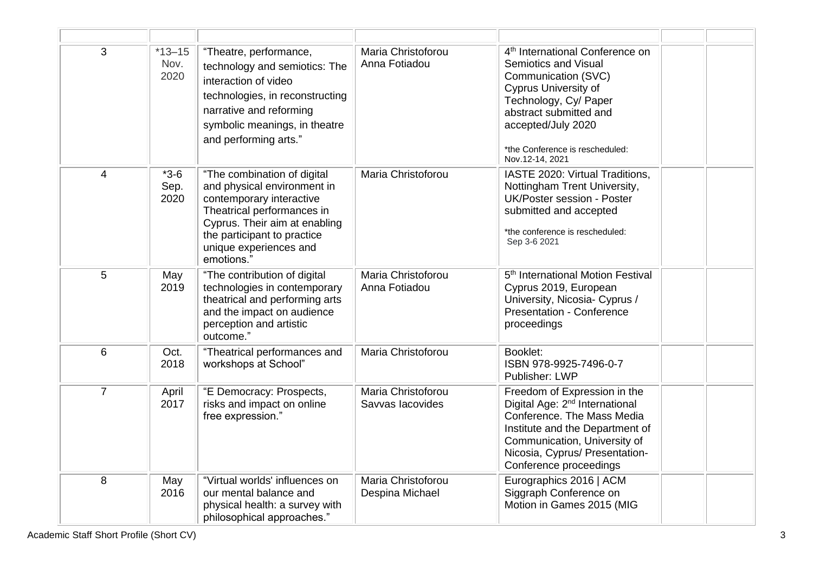| 3              | $*13 - 15$<br>Nov.<br>2020 | "Theatre, performance,<br>technology and semiotics: The<br>interaction of video<br>technologies, in reconstructing<br>narrative and reforming<br>symbolic meanings, in theatre<br>and performing arts."                      | Maria Christoforou<br>Anna Fotiadou    | 4 <sup>th</sup> International Conference on<br>Semiotics and Visual<br>Communication (SVC)<br><b>Cyprus University of</b><br>Technology, Cy/ Paper<br>abstract submitted and<br>accepted/July 2020<br>*the Conference is rescheduled:<br>Nov.12-14, 2021 |  |
|----------------|----------------------------|------------------------------------------------------------------------------------------------------------------------------------------------------------------------------------------------------------------------------|----------------------------------------|----------------------------------------------------------------------------------------------------------------------------------------------------------------------------------------------------------------------------------------------------------|--|
| $\overline{4}$ | $*3-6$<br>Sep.<br>2020     | "The combination of digital<br>and physical environment in<br>contemporary interactive<br>Theatrical performances in<br>Cyprus. Their aim at enabling<br>the participant to practice<br>unique experiences and<br>emotions." | Maria Christoforou                     | IASTE 2020: Virtual Traditions,<br>Nottingham Trent University,<br>UK/Poster session - Poster<br>submitted and accepted<br>*the conference is rescheduled:<br>Sep 3-6 2021                                                                               |  |
| 5              | May<br>2019                | "The contribution of digital<br>technologies in contemporary<br>theatrical and performing arts<br>and the impact on audience<br>perception and artistic<br>outcome."                                                         | Maria Christoforou<br>Anna Fotiadou    | 5 <sup>th</sup> International Motion Festival<br>Cyprus 2019, European<br>University, Nicosia- Cyprus /<br><b>Presentation - Conference</b><br>proceedings                                                                                               |  |
| $6\phantom{1}$ | Oct.<br>2018               | "Theatrical performances and<br>workshops at School"                                                                                                                                                                         | Maria Christoforou                     | Booklet:<br>ISBN 978-9925-7496-0-7<br>Publisher: LWP                                                                                                                                                                                                     |  |
| $\overline{7}$ | April<br>2017              | "E Democracy: Prospects,<br>risks and impact on online<br>free expression."                                                                                                                                                  | Maria Christoforou<br>Savvas lacovides | Freedom of Expression in the<br>Digital Age: 2 <sup>nd</sup> International<br>Conference. The Mass Media<br>Institute and the Department of<br>Communication, University of<br>Nicosia, Cyprus/ Presentation-<br>Conference proceedings                  |  |
| 8              | May<br>2016                | "Virtual worlds' influences on<br>our mental balance and<br>physical health: a survey with<br>philosophical approaches."                                                                                                     | Maria Christoforou<br>Despina Michael  | Eurographics 2016   ACM<br>Siggraph Conference on<br>Motion in Games 2015 (MIG                                                                                                                                                                           |  |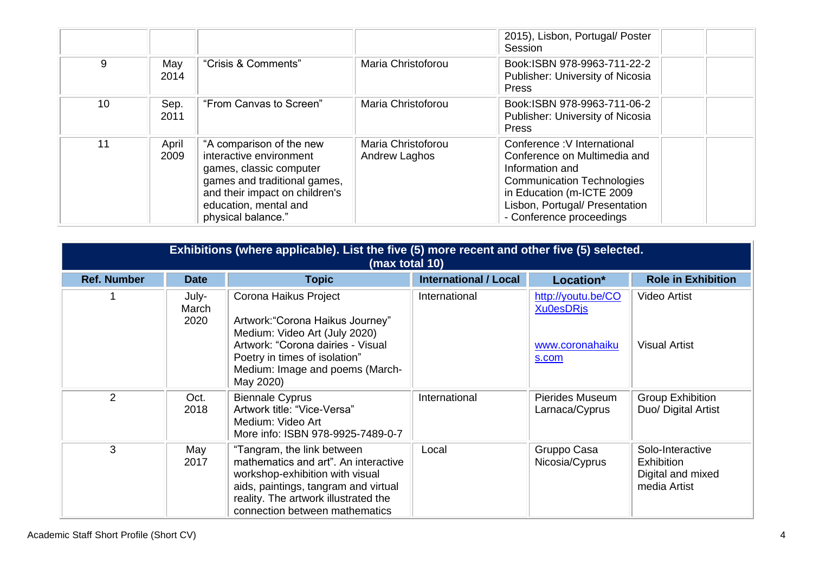|    |               |                                                                                                                                                                                                 |                                     | 2015), Lisbon, Portugal/ Poster<br>Session                                                                                                                                                                     |
|----|---------------|-------------------------------------------------------------------------------------------------------------------------------------------------------------------------------------------------|-------------------------------------|----------------------------------------------------------------------------------------------------------------------------------------------------------------------------------------------------------------|
| 9  | May<br>2014   | "Crisis & Comments"                                                                                                                                                                             | Maria Christoforou                  | Book:ISBN 978-9963-711-22-2<br>Publisher: University of Nicosia<br>Press                                                                                                                                       |
| 10 | Sep.<br>2011  | "From Canvas to Screen"                                                                                                                                                                         | Maria Christoforou                  | Book:ISBN 978-9963-711-06-2<br>Publisher: University of Nicosia<br>Press                                                                                                                                       |
| 11 | April<br>2009 | "A comparison of the new<br>interactive environment<br>games, classic computer<br>games and traditional games,<br>and their impact on children's<br>education, mental and<br>physical balance." | Maria Christoforou<br>Andrew Laghos | Conference: V International<br>Conference on Multimedia and<br>Information and<br><b>Communication Technologies</b><br>in Education (m-ICTE 2009<br>Lisbon, Portugal/ Presentation<br>- Conference proceedings |

|                    | Exhibitions (where applicable). List the five (5) more recent and other five (5) selected.<br>(max total 10) |                                                                                                                                                                                                                         |                              |                                                                    |                                                                            |  |  |
|--------------------|--------------------------------------------------------------------------------------------------------------|-------------------------------------------------------------------------------------------------------------------------------------------------------------------------------------------------------------------------|------------------------------|--------------------------------------------------------------------|----------------------------------------------------------------------------|--|--|
| <b>Ref. Number</b> | <b>Date</b>                                                                                                  | <b>Topic</b>                                                                                                                                                                                                            | <b>International / Local</b> | Location*                                                          | <b>Role in Exhibition</b>                                                  |  |  |
|                    | July-<br>March<br>2020                                                                                       | Corona Haikus Project<br>Artwork: "Corona Haikus Journey"<br>Medium: Video Art (July 2020)<br>Artwork: "Corona dairies - Visual<br>Poetry in times of isolation"<br>Medium: Image and poems (March-<br>May 2020)        | International                | http://youtu.be/CO<br><b>Xu0esDRis</b><br>www.coronahaiku<br>s.com | Video Artist<br><b>Visual Artist</b>                                       |  |  |
| $\overline{2}$     | Oct.<br>2018                                                                                                 | <b>Biennale Cyprus</b><br>Artwork title: "Vice-Versa"<br>Medium: Video Art<br>More info: ISBN 978-9925-7489-0-7                                                                                                         | International                | Pierides Museum<br>Larnaca/Cyprus                                  | <b>Group Exhibition</b><br>Duo/ Digital Artist                             |  |  |
| 3                  | May<br>2017                                                                                                  | "Tangram, the link between<br>mathematics and art". An interactive<br>workshop-exhibition with visual<br>aids, paintings, tangram and virtual<br>reality. The artwork illustrated the<br>connection between mathematics | Local                        | Gruppo Casa<br>Nicosia/Cyprus                                      | Solo-Interactive<br><b>Exhibition</b><br>Digital and mixed<br>media Artist |  |  |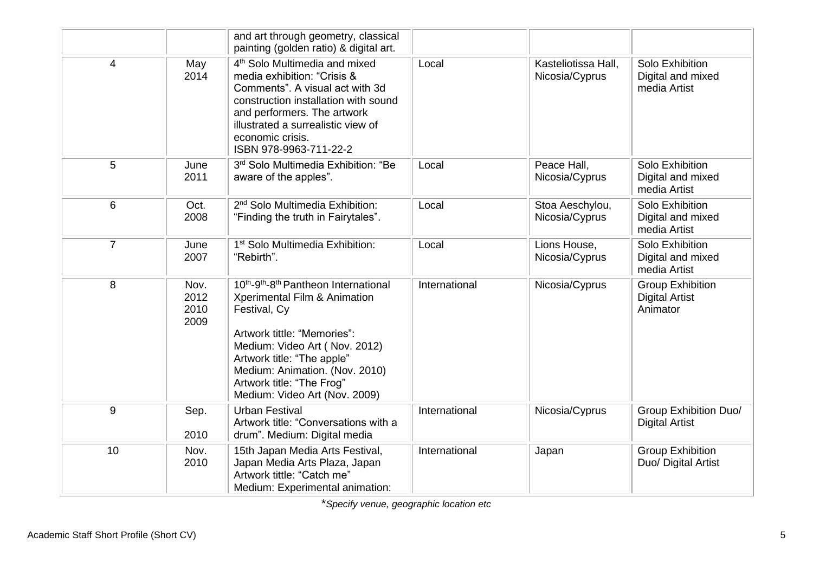|                |                              | and art through geometry, classical<br>painting (golden ratio) & digital art.                                                                                                                                                                                                                                           |               |                                       |                                                              |
|----------------|------------------------------|-------------------------------------------------------------------------------------------------------------------------------------------------------------------------------------------------------------------------------------------------------------------------------------------------------------------------|---------------|---------------------------------------|--------------------------------------------------------------|
| 4              | May<br>2014                  | 4 <sup>th</sup> Solo Multimedia and mixed<br>media exhibition: "Crisis &<br>Comments". A visual act with 3d<br>construction installation with sound<br>and performers. The artwork<br>illustrated a surrealistic view of<br>economic crisis.<br>ISBN 978-9963-711-22-2                                                  | Local         | Kasteliotissa Hall,<br>Nicosia/Cyprus | Solo Exhibition<br>Digital and mixed<br>media Artist         |
| 5              | June<br>2011                 | 3rd Solo Multimedia Exhibition: "Be<br>aware of the apples".                                                                                                                                                                                                                                                            | Local         | Peace Hall,<br>Nicosia/Cyprus         | Solo Exhibition<br>Digital and mixed<br>media Artist         |
| 6              | Oct.<br>2008                 | 2 <sup>nd</sup> Solo Multimedia Exhibition:<br>"Finding the truth in Fairytales".                                                                                                                                                                                                                                       | Local         | Stoa Aeschylou,<br>Nicosia/Cyprus     | Solo Exhibition<br>Digital and mixed<br>media Artist         |
| $\overline{7}$ | June<br>2007                 | 1 <sup>st</sup> Solo Multimedia Exhibition:<br>"Rebirth".                                                                                                                                                                                                                                                               | Local         | Lions House,<br>Nicosia/Cyprus        | Solo Exhibition<br>Digital and mixed<br>media Artist         |
| 8              | Nov.<br>2012<br>2010<br>2009 | 10 <sup>th</sup> -9 <sup>th</sup> -8 <sup>th</sup> Pantheon International<br>Xperimental Film & Animation<br>Festival, Cy<br>Artwork tittle: "Memories":<br>Medium: Video Art (Nov. 2012)<br>Artwork title: "The apple"<br>Medium: Animation. (Nov. 2010)<br>Artwork title: "The Frog"<br>Medium: Video Art (Nov. 2009) | International | Nicosia/Cyprus                        | <b>Group Exhibition</b><br><b>Digital Artist</b><br>Animator |
| 9              | Sep.<br>2010                 | <b>Urban Festival</b><br>Artwork title: "Conversations with a<br>drum". Medium: Digital media                                                                                                                                                                                                                           | International | Nicosia/Cyprus                        | <b>Group Exhibition Duo/</b><br><b>Digital Artist</b>        |
| 10             | Nov.<br>2010                 | 15th Japan Media Arts Festival,<br>Japan Media Arts Plaza, Japan<br>Artwork tittle: "Catch me"<br>Medium: Experimental animation:                                                                                                                                                                                       | International | Japan                                 | <b>Group Exhibition</b><br>Duo/ Digital Artist               |

\**Specify venue, geographic location etc*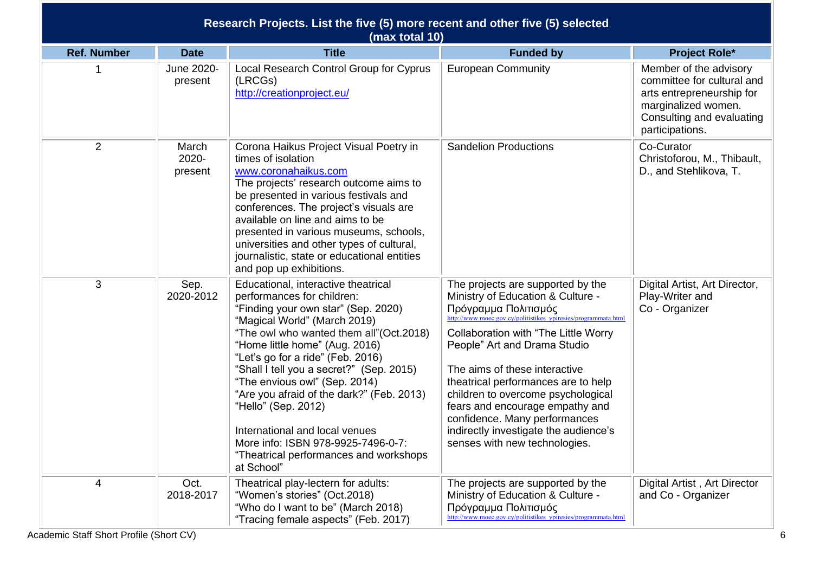| Research Projects. List the five (5) more recent and other five (5) selected<br>(max total 10) |                           |                                                                                                                                                                                                                                                                                                                                                                                                                        |                                                                                                                                                                                                                         |                                                                                                                                                          |  |
|------------------------------------------------------------------------------------------------|---------------------------|------------------------------------------------------------------------------------------------------------------------------------------------------------------------------------------------------------------------------------------------------------------------------------------------------------------------------------------------------------------------------------------------------------------------|-------------------------------------------------------------------------------------------------------------------------------------------------------------------------------------------------------------------------|----------------------------------------------------------------------------------------------------------------------------------------------------------|--|
| <b>Ref. Number</b>                                                                             | <b>Date</b>               | <b>Title</b>                                                                                                                                                                                                                                                                                                                                                                                                           | <b>Funded by</b>                                                                                                                                                                                                        | <b>Project Role*</b>                                                                                                                                     |  |
|                                                                                                | June 2020-<br>present     | Local Research Control Group for Cyprus<br>(LRCGs)<br>http://creationproject.eu/                                                                                                                                                                                                                                                                                                                                       | <b>European Community</b>                                                                                                                                                                                               | Member of the advisory<br>committee for cultural and<br>arts entrepreneurship for<br>marginalized women.<br>Consulting and evaluating<br>participations. |  |
| $\overline{2}$                                                                                 | March<br>2020-<br>present | Corona Haikus Project Visual Poetry in<br>times of isolation<br>www.coronahaikus.com<br>The projects' research outcome aims to<br>be presented in various festivals and<br>conferences. The project's visuals are<br>available on line and aims to be<br>presented in various museums, schools,<br>universities and other types of cultural,<br>journalistic, state or educational entities<br>and pop up exhibitions. | <b>Sandelion Productions</b>                                                                                                                                                                                            | Co-Curator<br>Christoforou, M., Thibault,<br>D., and Stehlikova, T.                                                                                      |  |
| 3                                                                                              | Sep.<br>2020-2012         | Educational, interactive theatrical<br>performances for children:<br>"Finding your own star" (Sep. 2020)<br>"Magical World" (March 2019)                                                                                                                                                                                                                                                                               | The projects are supported by the<br>Ministry of Education & Culture -<br>Πρόγραμμα Πολιτισμός<br>http://www.moec.gov.cy/politistikes ypiresies/programmata.html                                                        | Digital Artist, Art Director,<br>Play-Writer and<br>Co - Organizer                                                                                       |  |
|                                                                                                |                           | "The owl who wanted them all"(Oct.2018)<br>"Home little home" (Aug. 2016)<br>"Let's go for a ride" (Feb. 2016)                                                                                                                                                                                                                                                                                                         | Collaboration with "The Little Worry<br>People" Art and Drama Studio                                                                                                                                                    |                                                                                                                                                          |  |
|                                                                                                |                           | "Shall I tell you a secret?" (Sep. 2015)<br>"The envious owl" (Sep. 2014)<br>"Are you afraid of the dark?" (Feb. 2013)<br>"Hello" (Sep. 2012)<br>International and local venues                                                                                                                                                                                                                                        | The aims of these interactive<br>theatrical performances are to help<br>children to overcome psychological<br>fears and encourage empathy and<br>confidence. Many performances<br>indirectly investigate the audience's |                                                                                                                                                          |  |
|                                                                                                |                           | More info: ISBN 978-9925-7496-0-7:<br>"Theatrical performances and workshops<br>at School"                                                                                                                                                                                                                                                                                                                             | senses with new technologies.                                                                                                                                                                                           |                                                                                                                                                          |  |
| 4                                                                                              | Oct.<br>2018-2017         | Theatrical play-lectern for adults:<br>"Women's stories" (Oct.2018)<br>"Who do I want to be" (March 2018)<br>"Tracing female aspects" (Feb. 2017)                                                                                                                                                                                                                                                                      | The projects are supported by the<br>Ministry of Education & Culture -<br>Πρόγραμμα Πολιτισμός<br>http://www.moec.gov.cy/politistikes_ypiresies/programmata.html                                                        | Digital Artist, Art Director<br>and Co - Organizer                                                                                                       |  |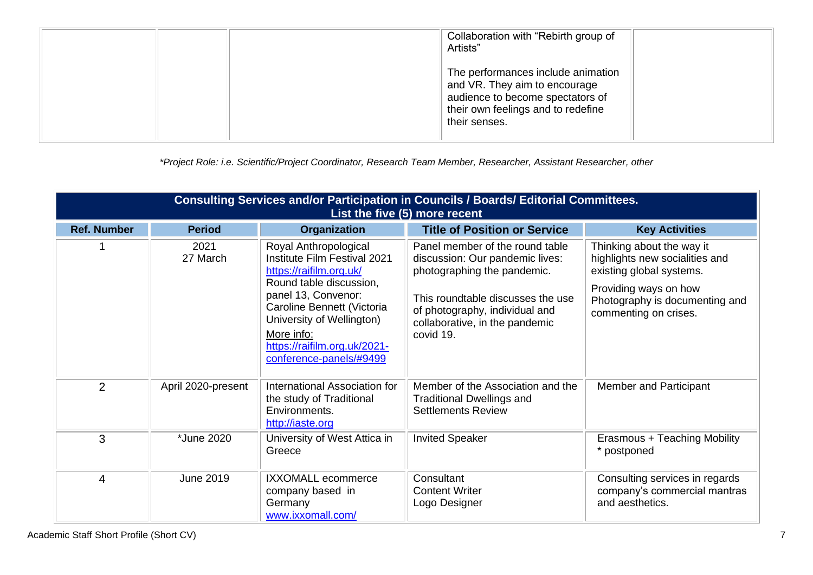| Collaboration with "Rebirth group of<br>Artists"                                                                                                               |  |
|----------------------------------------------------------------------------------------------------------------------------------------------------------------|--|
| The performances include animation<br>and VR. They aim to encourage<br>audience to become spectators of<br>their own feelings and to redefine<br>their senses. |  |

*\*Project Role: i.e. Scientific/Project Coordinator, Research Team Member, Researcher, Assistant Researcher, other*

| Consulting Services and/or Participation in Councils / Boards/ Editorial Committees.<br>List the five (5) more recent |                    |                                                                                                                                                                                                                                                                        |                                                                                                                                                                                                                         |                                                                                                                                                                             |  |  |  |
|-----------------------------------------------------------------------------------------------------------------------|--------------------|------------------------------------------------------------------------------------------------------------------------------------------------------------------------------------------------------------------------------------------------------------------------|-------------------------------------------------------------------------------------------------------------------------------------------------------------------------------------------------------------------------|-----------------------------------------------------------------------------------------------------------------------------------------------------------------------------|--|--|--|
| <b>Ref. Number</b>                                                                                                    | <b>Period</b>      | <b>Organization</b>                                                                                                                                                                                                                                                    | <b>Title of Position or Service</b>                                                                                                                                                                                     | <b>Key Activities</b>                                                                                                                                                       |  |  |  |
|                                                                                                                       | 2021<br>27 March   | Royal Anthropological<br>Institute Film Festival 2021<br>https://raifilm.org.uk/<br>Round table discussion,<br>panel 13, Convenor:<br>Caroline Bennett (Victoria<br>University of Wellington)<br>More info:<br>https://raifilm.org.uk/2021-<br>conference-panels/#9499 | Panel member of the round table<br>discussion: Our pandemic lives:<br>photographing the pandemic.<br>This roundtable discusses the use<br>of photography, individual and<br>collaborative, in the pandemic<br>covid 19. | Thinking about the way it<br>highlights new socialities and<br>existing global systems.<br>Providing ways on how<br>Photography is documenting and<br>commenting on crises. |  |  |  |
| 2                                                                                                                     | April 2020-present | International Association for<br>the study of Traditional<br>Environments.<br>http://iaste.org                                                                                                                                                                         | Member of the Association and the<br><b>Traditional Dwellings and</b><br><b>Settlements Review</b>                                                                                                                      | Member and Participant                                                                                                                                                      |  |  |  |
| 3                                                                                                                     | *June 2020         | University of West Attica in<br>Greece                                                                                                                                                                                                                                 | <b>Invited Speaker</b>                                                                                                                                                                                                  | Erasmous + Teaching Mobility<br>* postponed                                                                                                                                 |  |  |  |
| $\overline{4}$                                                                                                        | <b>June 2019</b>   | IXXOMALL ecommerce<br>company based in<br>Germany<br>www.ixxomall.com/                                                                                                                                                                                                 | Consultant<br><b>Content Writer</b><br>Logo Designer                                                                                                                                                                    | Consulting services in regards<br>company's commercial mantras<br>and aesthetics.                                                                                           |  |  |  |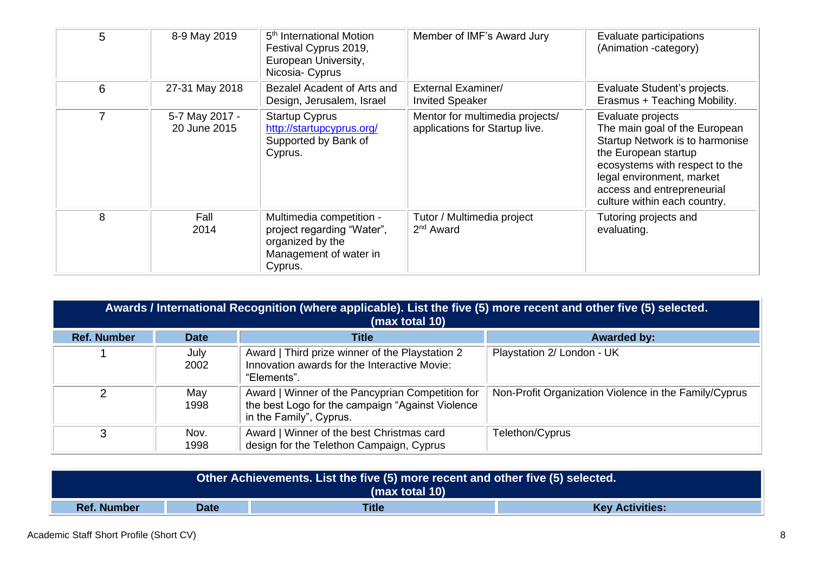| 5 | 8-9 May 2019                   | 5 <sup>th</sup> International Motion<br>Festival Cyprus 2019,<br>European University,<br>Nicosia- Cyprus        | Member of IMF's Award Jury                                        | Evaluate participations<br>(Animation -category)                                                                                                                                                                                           |
|---|--------------------------------|-----------------------------------------------------------------------------------------------------------------|-------------------------------------------------------------------|--------------------------------------------------------------------------------------------------------------------------------------------------------------------------------------------------------------------------------------------|
| 6 | 27-31 May 2018                 | Bezalel Acadent of Arts and<br>Design, Jerusalem, Israel                                                        | <b>External Examiner/</b><br><b>Invited Speaker</b>               | Evaluate Student's projects.<br>Erasmus + Teaching Mobility.                                                                                                                                                                               |
|   | 5-7 May 2017 -<br>20 June 2015 | <b>Startup Cyprus</b><br>http://startupcyprus.org/<br>Supported by Bank of<br>Cyprus.                           | Mentor for multimedia projects/<br>applications for Startup live. | Evaluate projects<br>The main goal of the European<br>Startup Network is to harmonise<br>the European startup<br>ecosystems with respect to the<br>legal environment, market<br>access and entrepreneurial<br>culture within each country. |
| 8 | Fall<br>2014                   | Multimedia competition -<br>project regarding "Water",<br>organized by the<br>Management of water in<br>Cyprus. | Tutor / Multimedia project<br>$2nd$ Award                         | Tutoring projects and<br>evaluating.                                                                                                                                                                                                       |

| Awards / International Recognition (where applicable). List the five (5) more recent and other five (5) selected.<br>(max total 10) |              |                                                                                                                                 |                                                       |
|-------------------------------------------------------------------------------------------------------------------------------------|--------------|---------------------------------------------------------------------------------------------------------------------------------|-------------------------------------------------------|
| <b>Ref. Number</b>                                                                                                                  | <b>Date</b>  | <b>Title</b>                                                                                                                    | <b>Awarded by:</b>                                    |
|                                                                                                                                     | July<br>2002 | Award   Third prize winner of the Playstation 2<br>Innovation awards for the Interactive Movie:<br>"Elements".                  | Playstation 2/ London - UK                            |
|                                                                                                                                     | May<br>1998  | Award   Winner of the Pancyprian Competition for<br>the best Logo for the campaign "Against Violence<br>in the Family", Cyprus. | Non-Profit Organization Violence in the Family/Cyprus |
| 3                                                                                                                                   | Nov.<br>1998 | Award   Winner of the best Christmas card<br>design for the Telethon Campaign, Cyprus                                           | Telethon/Cyprus                                       |

| Other Achievements. List the five (5) more recent and other five (5) selected. |  |  |  |  |
|--------------------------------------------------------------------------------|--|--|--|--|
| (max total 10)                                                                 |  |  |  |  |
| <b>Title</b><br><b>Ref. Number</b><br><b>Key Activities:</b><br>Date           |  |  |  |  |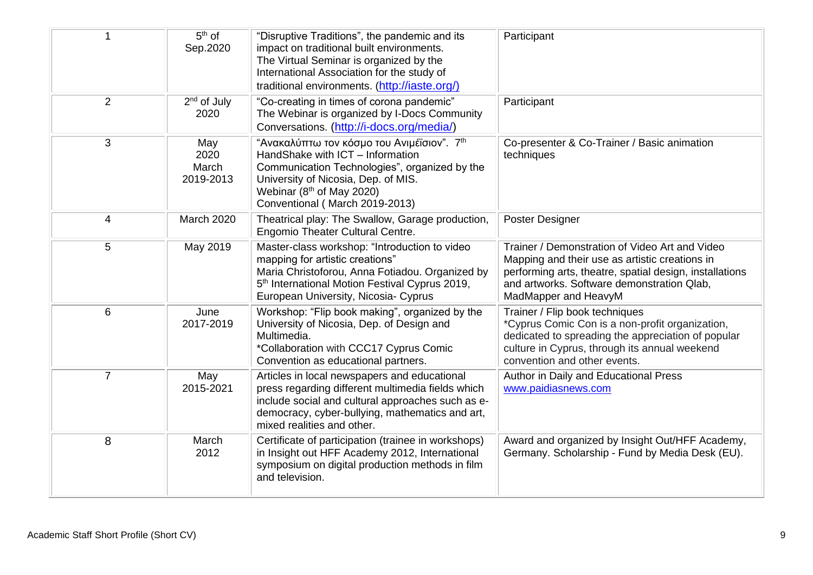|                | $5th$ of<br>Sep.2020              | "Disruptive Traditions", the pandemic and its<br>impact on traditional built environments.<br>The Virtual Seminar is organized by the<br>International Association for the study of<br>traditional environments. (http://iaste.org/)              | Participant                                                                                                                                                                                                                       |
|----------------|-----------------------------------|---------------------------------------------------------------------------------------------------------------------------------------------------------------------------------------------------------------------------------------------------|-----------------------------------------------------------------------------------------------------------------------------------------------------------------------------------------------------------------------------------|
| 2              | $2nd$ of July<br>2020             | "Co-creating in times of corona pandemic"<br>The Webinar is organized by I-Docs Community<br>Conversations. (http://i-docs.org/media/)                                                                                                            | Participant                                                                                                                                                                                                                       |
| 3              | May<br>2020<br>March<br>2019-2013 | "Ανακαλύπτω τον κόσμο του Ανιμέϊσιον". 7 <sup>th</sup><br>HandShake with ICT - Information<br>Communication Technologies", organized by the<br>University of Nicosia, Dep. of MIS.<br>Webinar (8th of May 2020)<br>Conventional (March 2019-2013) | Co-presenter & Co-Trainer / Basic animation<br>techniques                                                                                                                                                                         |
| 4              | March 2020                        | Theatrical play: The Swallow, Garage production,<br><b>Engomio Theater Cultural Centre.</b>                                                                                                                                                       | Poster Designer                                                                                                                                                                                                                   |
| 5              | May 2019                          | Master-class workshop: "Introduction to video<br>mapping for artistic creations"<br>Maria Christoforou, Anna Fotiadou. Organized by<br>5 <sup>th</sup> International Motion Festival Cyprus 2019,<br>European University, Nicosia- Cyprus         | Trainer / Demonstration of Video Art and Video<br>Mapping and their use as artistic creations in<br>performing arts, theatre, spatial design, installations<br>and artworks. Software demonstration Qlab,<br>MadMapper and HeavyM |
| $6\phantom{1}$ | June<br>2017-2019                 | Workshop: "Flip book making", organized by the<br>University of Nicosia, Dep. of Design and<br>Multimedia.<br>*Collaboration with CCC17 Cyprus Comic<br>Convention as educational partners.                                                       | Trainer / Flip book techniques<br>*Cyprus Comic Con is a non-profit organization,<br>dedicated to spreading the appreciation of popular<br>culture in Cyprus, through its annual weekend<br>convention and other events.          |
| $\overline{7}$ | May<br>2015-2021                  | Articles in local newspapers and educational<br>press regarding different multimedia fields which<br>include social and cultural approaches such as e-<br>democracy, cyber-bullying, mathematics and art,<br>mixed realities and other.           | Author in Daily and Educational Press<br>www.paidiasnews.com                                                                                                                                                                      |
| 8              | March<br>2012                     | Certificate of participation (trainee in workshops)<br>in Insight out HFF Academy 2012, International<br>symposium on digital production methods in film<br>and television.                                                                       | Award and organized by Insight Out/HFF Academy,<br>Germany. Scholarship - Fund by Media Desk (EU).                                                                                                                                |